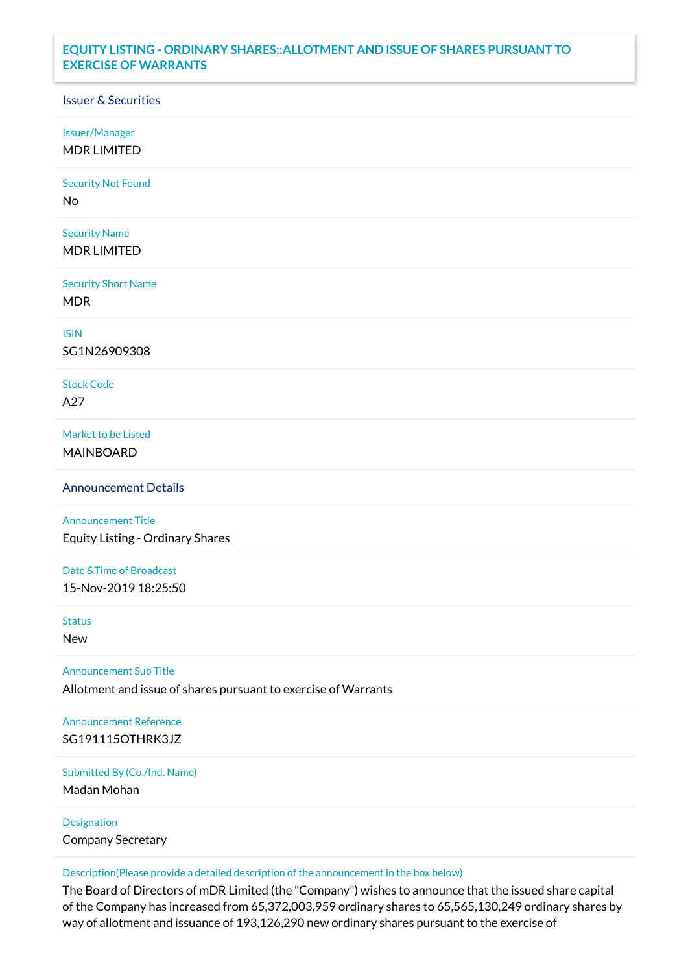## **EQUITY LISTING - ORDINARY SHARES::ALLOTMENT AND ISSUE OF SHARES PURSUANT TO EXERCISE OF WARRANTS**

## Issuer & Securities

Issuer/Manager

MDR LIMITED

Security Not Found

No

Security Name MDR LIMITED

Security Short Name MDR

ISIN

SG1N26909308

Stock Code A27

Market to be Listed MAINBOARD

Announcement Details

Announcement Title Equity Listing - Ordinary Shares

Date &Time of Broadcast 15-Nov-2019 18:25:50

Status

New

Announcement Sub Title

Allotment and issue of shares pursuant to exercise of Warrants

Announcement Reference SG191115OTHRK3JZ

Submitted By (Co./Ind. Name)

Madan Mohan

Designation Company Secretary

Description(Please provide a detailed description of the announcement in the box below)

The Board of Directors of mDR Limited (the "Company") wishes to announce that the issued share capital of the Company has increased from 65,372,003,959 ordinary shares to 65,565,130,249 ordinary shares by way of allotment and issuance of 193,126,290 new ordinary shares pursuant to the exercise of